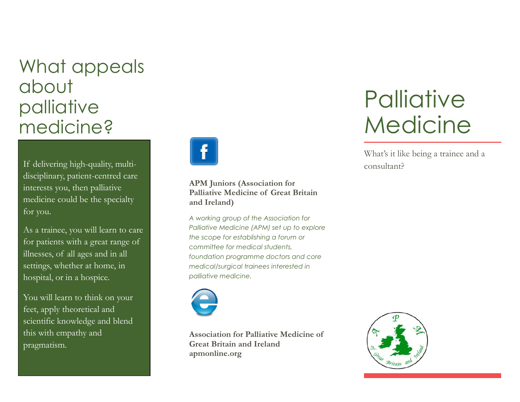## What appeals about palliative medicine?

If delivering high-quality, multidisciplinary, patient-centred care interests you, then palliative medicine could be the specialty for you.

As a trainee, you will learn to care for patients with a great range of illnesses, of all ages and in all settings, whether at home, in hospital, or in a hospice.

You will learn to think on your feet, apply theoretical and scientific knowledge and blend this with empathy and pragmatism.



**APM Juniors (Association for Palliative Medicine of Great Britain and Ireland)**

*A working group of the Association for Palliative Medicine (APM) set up to explore the scope for establishing a forum or committee for medical students, foundation programme doctors and core medical/surgical trainees interested in palliative medicine.*



**Association for Palliative Medicine of Great Britain and Ireland apmonline.org**

# **Palliative** Medicine

What's it like being a trainee and a